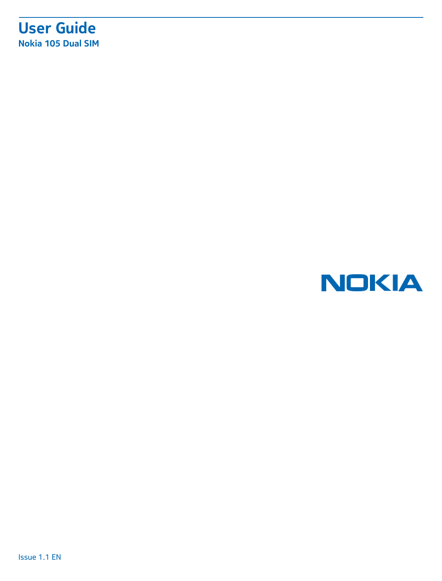### **User Guide Nokia 105 Dual SIM**

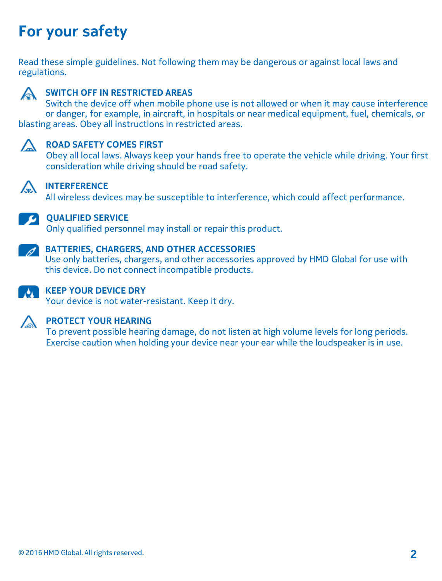## **For your safety**

Read these simple guidelines. Not following them may be dangerous or against local laws and regulations.



#### **SWITCH OFF IN RESTRICTED AREAS**

Switch the device off when mobile phone use is not allowed or when it may cause interference or danger, for example, in aircraft, in hospitals or near medical equipment, fuel, chemicals, or blasting areas. Obey all instructions in restricted areas.



#### **A** ROAD SAFETY COMES FIRST

Obey all local laws. Always keep your hands free to operate the vehicle while driving. Your first consideration while driving should be road safety.



### **INTERFERENCE**

All wireless devices may be susceptible to interference, which could affect performance.



#### **QUALIFIED SERVICE**

Only qualified personnel may install or repair this product.



#### **BATTERIES, CHARGERS, AND OTHER ACCESSORIES**

Use only batteries, chargers, and other accessories approved by HMD Global for use with this device. Do not connect incompatible products.



### **KEEP YOUR DEVICE DRY**

Your device is not water-resistant. Keep it dry.



#### **PROTECT YOUR HEARING**

To prevent possible hearing damage, do not listen at high volume levels for long periods. Exercise caution when holding your device near your ear while the loudspeaker is in use.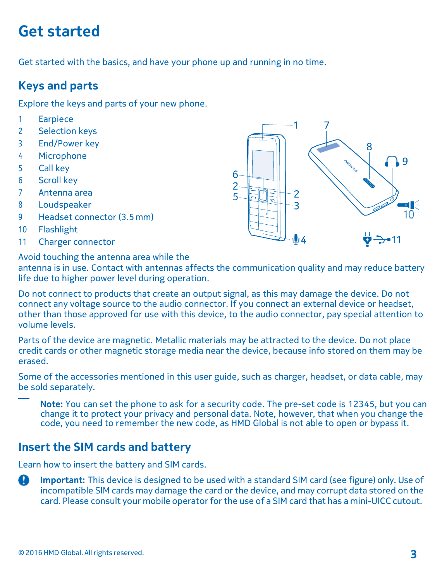## **Get started**

Get started with the basics, and have your phone up and running in no time.

#### **Keys and parts**

Explore the keys and parts of your new phone.

- 1 Earpiece
- 2 Selection keys
- 3 End/Power key
- 4 Microphone
- 5 Call key
- 6 Scroll key
- 7 Antenna area
- 8 Loudspeaker
- 9 Headset connector (3.5mm)
- 10 Flashlight
- 11 Charger connector

Avoid touching the antenna area while the

antenna is in use. Contact with antennas affects the communication quality and may reduce battery life due to higher power level during operation.

Do not connect to products that create an output signal, as this may damage the device. Do not connect any voltage source to the audio connector. If you connect an external device or headset, other than those approved for use with this device, to the audio connector, pay special attention to volume levels.

Parts of the device are magnetic. Metallic materials may be attracted to the device. Do not place credit cards or other magnetic storage media near the device, because info stored on them may be erased.

Some of the accessories mentioned in this user guide, such as charger, headset, or data cable, may be sold separately.

**Note:** You can set the phone to ask for a security code. The pre-set code is 12345, but you can change it to protect your privacy and personal data. Note, however, that when you change the code, you need to remember the new code, as HMD Global is not able to open or bypass it.

#### **Insert the SIM cards and battery**

Learn how to insert the battery and SIM cards.

 **Important:** This device is designed to be used with <sup>a</sup> standard SIM card (see figure) only. Use of incompatible SIM cards may damage the card or the device, and may corrupt data stored on the card. Please consult your mobile operator for the use of a SIM card that has a mini-UICC cutout.

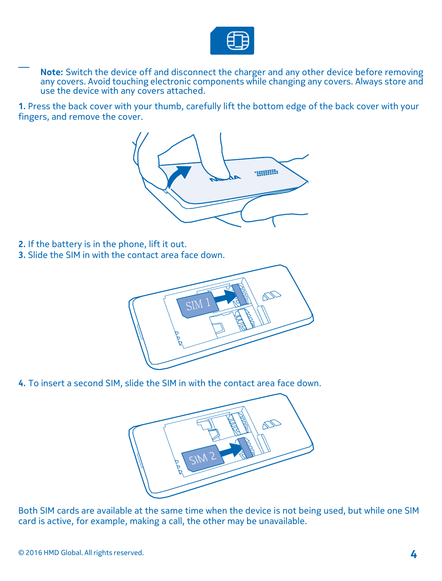

**Note:** Switch the device off and disconnect the charger and any other device before removing any covers. Avoid touching electronic components while changing any covers. Always store and use the device with any covers attached.

**1.** Press the back cover with your thumb, carefully lift the bottom edge of the back cover with your fingers, and remove the cover.



- **2.** If the battery is in the phone, lift it out.
- **3.** Slide the SIM in with the contact area face down.



**4.** To insert a second SIM, slide the SIM in with the contact area face down.



Both SIM cards are available at the same time when the device is not being used, but while one SIM card is active, for example, making a call, the other may be unavailable.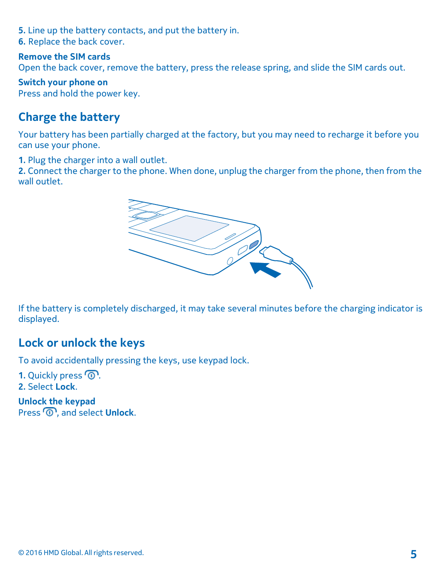- **5.** Line up the battery contacts, and put the battery in.
- **6.** Replace the back cover.

#### **Remove the SIM cards**

Open the back cover, remove the battery, press the release spring, and slide the SIM cards out.

**Switch your phone on** Press and hold the power key.

#### **Charge the battery**

Your battery has been partially charged at the factory, but you may need to recharge it before you can use your phone.

**1.** Plug the charger into a wall outlet.

**2.** Connect the charger to the phone. When done, unplug the charger from the phone, then from the wall outlet.



If the battery is completely discharged, it may take several minutes before the charging indicator is displayed.

#### **Lock or unlock the keys**

To avoid accidentally pressing the keys, use keypad lock.

1. Quickly press  $\circledR$ . **2.** Select **Lock**.

**Unlock the keypad** Press<sup>(0)</sup>, and select **Unlock**.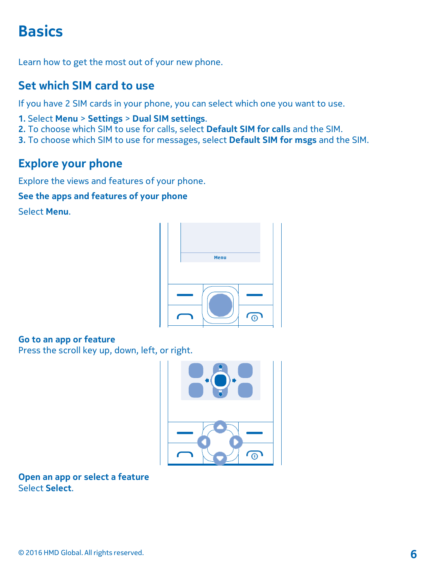## **Basics**

Learn how to get the most out of your new phone.

### **Set which SIM card to use**

If you have 2 SIM cards in your phone, you can select which one you want to use.

- **1.** Select **Menu** > **Settings** > **Dual SIM settings**.
- **2.** To choose which SIM to use for calls, select **Default SIM for calls** and the SIM.
- **3.** To choose which SIM to use for messages, select **Default SIM for msgs** and the SIM.

#### **Explore your phone**

Explore the views and features of your phone.

#### **See the apps and features of your phone**

Select **Menu**.



#### **Go to an app or feature**

Press the scroll key up, down, left, or right.



**Open an app or select a feature** Select **Select**.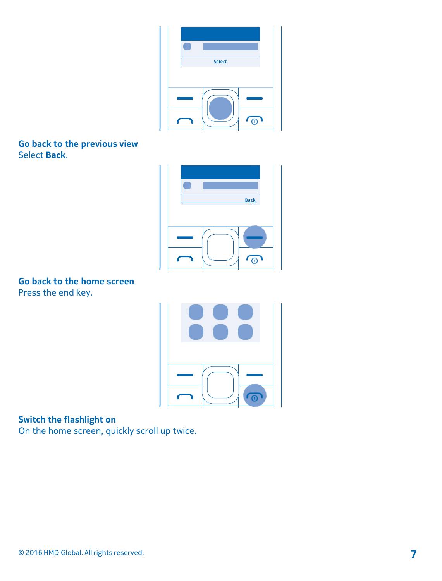| ۴ |               |              |
|---|---------------|--------------|
|   | <b>Select</b> |              |
|   |               |              |
|   |               |              |
|   |               | $\tau_\odot$ |

**Go back to the previous view** Select **Back**.



**Go back to the home screen** Press the end key.



**Switch the flashlight on**

On the home screen, quickly scroll up twice.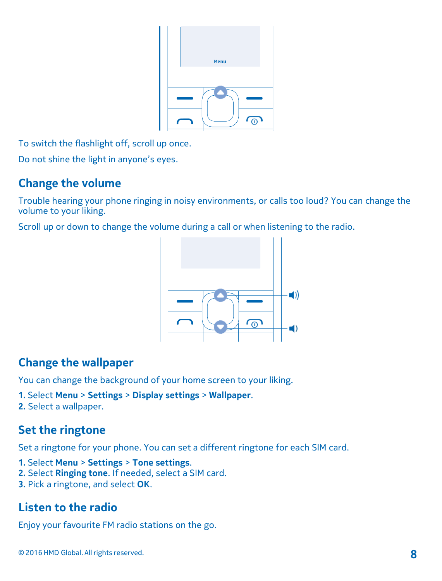

To switch the flashlight off, scroll up once.

Do not shine the light in anyone's eyes.

#### **Change the volume**

Trouble hearing your phone ringing in noisy environments, or calls too loud? You can change the volume to your liking.

Scroll up or down to change the volume during a call or when listening to the radio.



#### **Change the wallpaper**

You can change the background of your home screen to your liking.

- **1.** Select **Menu** > **Settings** > **Display settings** > **Wallpaper**.
- **2.** Select a wallpaper.

#### **Set the ringtone**

Set a ringtone for your phone. You can set a different ringtone for each SIM card.

- **1.** Select **Menu** > **Settings** > **Tone settings**.
- **2.** Select **Ringing tone**. If needed, select a SIM card.
- **3.** Pick a ringtone, and select **OK**.

### **Listen to the radio**

Enjoy your favourite FM radio stations on the go.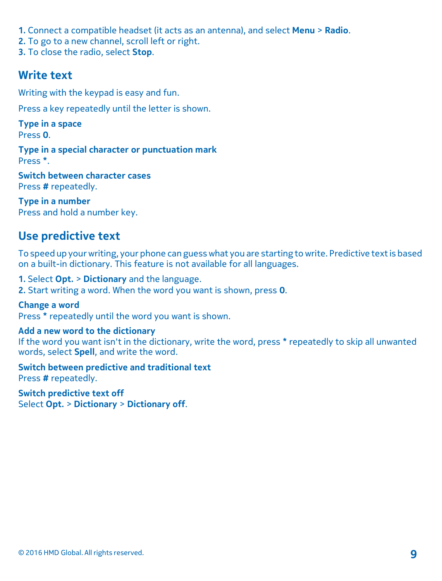- **1.** Connect a compatible headset (it acts as an antenna), and select **Menu** > **Radio**.
- **2.** To go to a new channel, scroll left or right.
- **3.** To close the radio, select **Stop**.

#### **Write text**

Writing with the keypad is easy and fun.

Press a key repeatedly until the letter is shown.

**Type in a space** Press **0**.

**Type in a special character or punctuation mark** Press **\***.

**Switch between character cases** Press **#** repeatedly.

**Type in a number** Press and hold a number key.

#### **Use predictive text**

To speed up yourwriting, your phone can guesswhat you are starting to write. Predictive textis based on a built-in dictionary. This feature is not available for all languages.

**1.** Select **Opt.** > **Dictionary** and the language.

**2.** Start writing a word. When the word you want is shown, press **0**.

**Change a word** Press **\*** repeatedly until the word you want is shown.

#### **Add a new word to the dictionary**

If the word you want isn't in the dictionary, write the word, press **\*** repeatedly to skip all unwanted words, select **Spell**, and write the word.

**Switch between predictive and traditional text** Press **#** repeatedly.

**Switch predictive text off** Select **Opt.** > **Dictionary** > **Dictionary off**.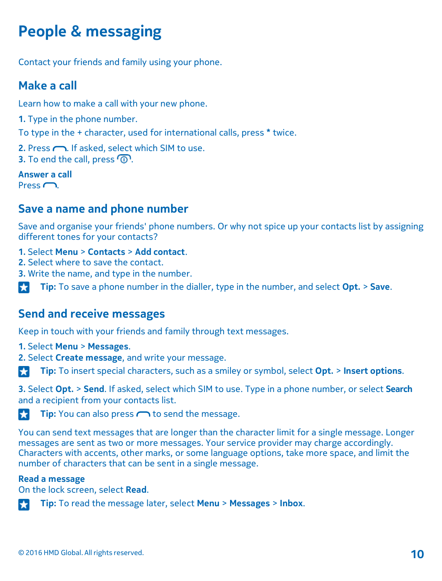## **People & messaging**

Contact your friends and family using your phone.

### **Make a call**

Learn how to make a call with your new phone.

**1.** Type in the phone number.

To type in the + character, used for international calls, press **\*** twice.

- 2. Press  $\bigcap$ . If asked, select which SIM to use.
- **3.** To end the call, press  $\circled{0}$

#### **Answer a call** Press  $\bigcap$

#### **Save a name and phone number**

Save and organise your friends' phone numbers. Or why not spice up your contacts list by assigning different tones for your contacts?

- **1.** Select **Menu** > **Contacts** > **Add contact**.
- **2.** Select where to save the contact.
- **3.** Write the name, and type in the number.

**Tip:** To save a phone number in the dialler, type in the number, and select **Opt.** <sup>&</sup>gt; **Save**.

#### **Send and receive messages**

Keep in touch with your friends and family through text messages.

- **1.** Select **Menu** > **Messages**.
- **2.** Select **Create message**, and write your message.

**Tip:** To insert special characters, such as a smiley or symbol, select **Opt.** > **Insert options**.

**3.** Select **Opt.** > **Send**. If asked, select which SIM to use. Type in a phone number, or select **Search** and a recipient from your contacts list.

**Tip:** You can also press  $\frown$  to send the message.

You can send text messages that are longer than the character limit for a single message. Longer messages are sent as two or more messages. Your service provider may charge accordingly. Characters with accents, other marks, or some language options, take more space, and limit the number of characters that can be sent in a single message.

#### **Read a message**

On the lock screen, select **Read**.



**Tip:** To read the message later, select **Menu** > **Messages** > **Inbox**.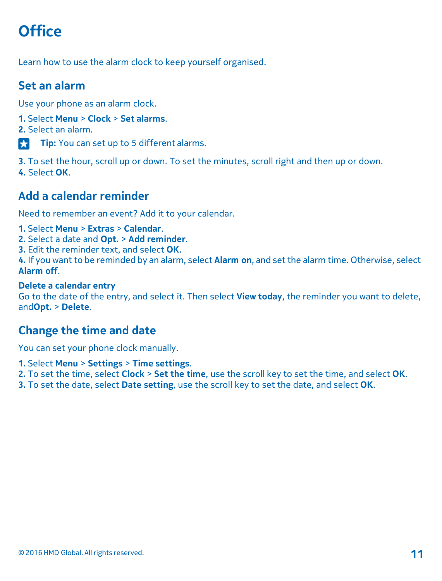## **Office**

Learn how to use the alarm clock to keep yourself organised.

### **Set an alarm**

Use your phone as an alarm clock.

- **1.** Select **Menu** > **Clock** > **Set alarms**.
- **2.** Select an alarm.
- **Tip:** You can set up to 5 different alarms.

**3.** To set the hour, scroll up or down. To set the minutes, scroll right and then up or down. **4.** Select **OK**.

### **Add a calendar reminder**

Need to remember an event? Add it to your calendar.

- **1.** Select **Menu** > **Extras** > **Calendar**.
- **2.** Select a date and **Opt.** > **Add reminder**.
- **3.** Edit the reminder text, and select **OK**.

**4.** If you want to be reminded by an alarm, select **Alarm on**, and set the alarm time. Otherwise, select **Alarm off**.

#### **Delete a calendar entry**

Go to the date of the entry, and select it. Then select **View today**, the reminder you want to delete, and**Opt.** > **Delete**.

#### **Change the time and date**

You can set your phone clock manually.

- **1.** Select **Menu** > **Settings** > **Time settings**.
- **2.** To set the time, select **Clock** > **Set the time**, use the scroll key to set the time, and select **OK**.
- **3.** To set the date, select **Date setting**, use the scroll key to set the date, and select **OK**.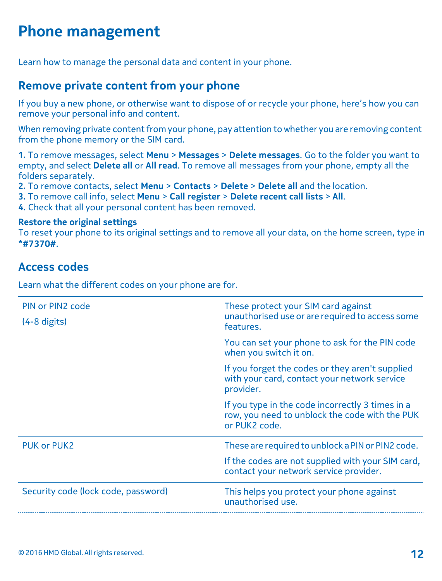## **Phone management**

Learn how to manage the personal data and content in your phone.

#### **Remove private content from your phone**

If you buy a new phone, or otherwise want to dispose of or recycle your phone, here's how you can remove your personal info and content.

When removing private content from your phone, pay attention to whether you are removing content from the phone memory or the SIM card.

**1.** To remove messages, select **Menu** > **Messages** > **Delete messages**. Go to the folder you want to empty, and select **Delete all** or **All read**. To remove all messages from your phone, empty all the folders separately.

**2.** To remove contacts, select **Menu** > **Contacts** > **Delete** > **Delete all** and the location.

**3.** To remove call info, select **Menu** > **Call register** > **Delete recent call lists** > **All**.

**4.** Check that all your personal content has been removed.

#### **Restore the original settings**

To reset your phone to its original settings and to remove all your data, on the home screen, type in **\*#7370#**.

#### **Access codes**

Learn what the different codes on your phone are for.

| PIN or PIN2 code<br>$(4-8$ digits)  | These protect your SIM card against<br>unauthorised use or are required to access some<br>features.                 |
|-------------------------------------|---------------------------------------------------------------------------------------------------------------------|
|                                     | You can set your phone to ask for the PIN code<br>when you switch it on.                                            |
|                                     | If you forget the codes or they aren't supplied<br>with your card, contact your network service<br>provider.        |
|                                     | If you type in the code incorrectly 3 times in a<br>row, you need to unblock the code with the PUK<br>or PUK2 code. |
| <b>PUK or PUK2</b>                  | These are required to unblock a PIN or PIN2 code.                                                                   |
|                                     | If the codes are not supplied with your SIM card,<br>contact your network service provider.                         |
| Security code (lock code, password) | This helps you protect your phone against<br>unauthorised use.                                                      |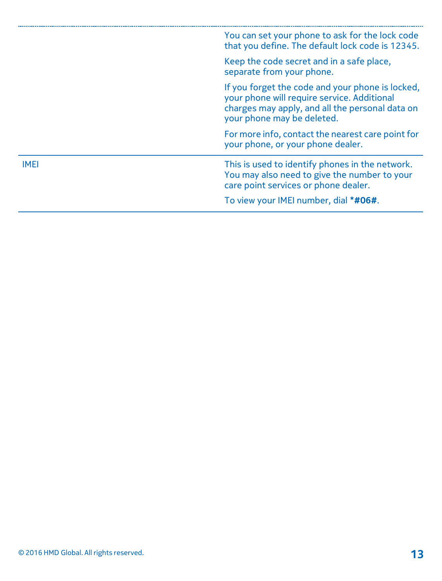|      | You can set your phone to ask for the lock code<br>that you define. The default lock code is 12345.                                                                              |
|------|----------------------------------------------------------------------------------------------------------------------------------------------------------------------------------|
|      | Keep the code secret and in a safe place,<br>separate from your phone.                                                                                                           |
|      | If you forget the code and your phone is locked.<br>your phone will require service. Additional<br>charges may apply, and all the personal data on<br>your phone may be deleted. |
|      | For more info, contact the nearest care point for<br>your phone, or your phone dealer.                                                                                           |
| IMEI | This is used to identify phones in the network.<br>You may also need to give the number to your<br>care point services or phone dealer.                                          |
|      | To view your IMEI number, dial *#06#.                                                                                                                                            |
|      |                                                                                                                                                                                  |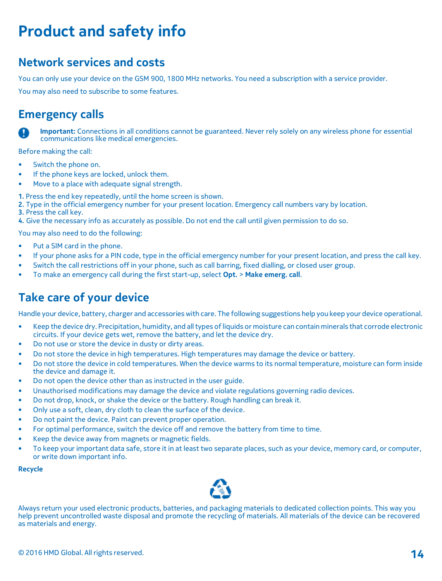## **Product and safety info**

#### **Network services and costs**

You can only use your device on the GSM 900, 1800 MHz networks. You need a subscription with a service provider.

You may also need to subscribe to some features.

#### **Emergency calls**



 **Important:** Connections in all conditions cannot be guaranteed. Never rely solely on any wireless phone for essential communications like medical emergencies.

Before making the call:

- Switch the phone on.
- If the phone keys are locked, unlock them.
- Move to a place with adequate signal strength.

**1.** Press the end key repeatedly, until the home screen is shown.

**2.** Type in the official emergency number for your present location. Emergency call numbers vary by location.

**3.** Press the call key.

**4.** Give the necessary info as accurately as possible. Do not end the call until given permission to do so.

You may also need to do the following:

- Put a SIM card in the phone.
- If your phone asks for a PIN code, type in the official emergency number for your present location, and press the call key.
- Switch the call restrictions off in your phone, such as call barring, fixed dialling, or closed user group.
- To make an emergency call during the first start-up, select **Opt.** > **Make emerg. call**.

### **Take care of your device**

Handle your device, battery, charger and accessorieswith care. The following suggestions help you keep your device operational.

- Keep the device dry. Precipitation, humidity, and all types of liquids or moisture can contain minerals that corrode electronic circuits. If your device gets wet, remove the battery, and let the device dry.
- Do not use or store the device in dusty or dirty areas.
- Do not store the device in high temperatures. High temperatures may damage the device or battery.
- Do not store the device in cold temperatures. When the device warms to its normal temperature, moisture can form inside the device and damage it.
- Do not open the device other than as instructed in the user guide.
- Unauthorised modifications may damage the device and violate regulations governing radio devices.
- Do not drop, knock, or shake the device or the battery. Rough handling can break it.
- Only use a soft, clean, dry cloth to clean the surface of the device.
- Do not paint the device. Paint can prevent proper operation.
- For optimal performance, switch the device off and remove the battery from time to time.
- Keep the device away from magnets or magnetic fields.
- To keep your important data safe, store it in at least two separate places, such as your device, memory card, or computer, or write down important info.

#### **Recycle**



Always return your used electronic products, batteries, and packaging materials to dedicated collection points. This way you help prevent uncontrolled waste disposal and promote the recycling of materials. All materials of the device can be recovered as materials and energy.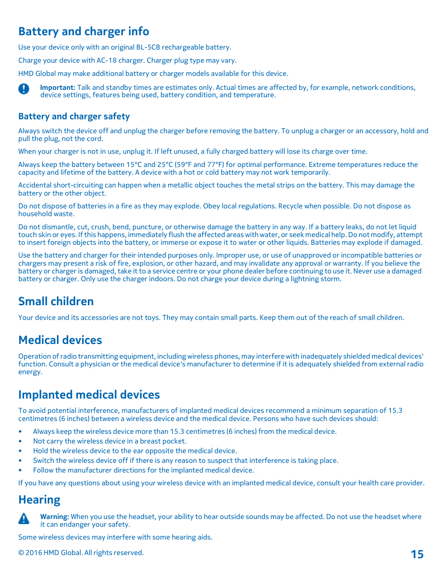### **Battery and charger info**

Use your device only with an original BL-5CB rechargeable battery.

Charge your device with AC-18 charger. Charger plug type may vary.

HMD Global may make additional battery or charger models available for this device.

n **Important:** Talk and standby times are estimates only. Actual times are affected by, for example, network conditions, device settings, features being used, battery condition, and temperature.

#### **Battery and charger safety**

Always switch the device off and unplug the charger before removing the battery. To unplug a charger or an accessory, hold and pull the plug, not the cord.

When your charger is not in use, unplug it. If left unused, a fully charged battery will lose its charge over time.

Always keep the battery between 15°C and 25°C (59°F and 77°F) for optimal performance. Extreme temperatures reduce the capacity and lifetime of the battery. A device with a hot or cold battery may not work temporarily.

Accidental short-circuiting can happen when a metallic object touches the metal strips on the battery. This may damage the battery or the other object.

Do not dispose of batteries in a fire as they may explode. Obey local regulations. Recycle when possible. Do not dispose as household waste.

Do not dismantle, cut, crush, bend, puncture, or otherwise damage the battery in any way. If a battery leaks, do not let liquid touch skin or eyes. Ifthis happens, immediately flush the affected areaswithwater, or seek medical help.Do not modify, attempt to insert foreign objects into the battery, or immerse or expose it to water or other liquids. Batteries may explode if damaged.

Use the battery and charger for their intended purposes only. Improper use, or use of unapproved or incompatible batteries or chargers may present a risk of fire, explosion, or other hazard, and may invalidate any approval or warranty. If you believe the battery or charger is damaged, take it to a service centre or your phone dealer before continuing to use it. Never use a damaged battery or charger. Only use the charger indoors. Do not charge your device during a lightning storm.

### **Small children**

Your device and its accessories are not toys. They may contain small parts. Keep them out of the reach of small children.

### **Medical devices**

Operation ofradio transmitting equipment, including wireless phones, may interferewith inadequately shielded medical devices' function. Consult a physician or the medical device's manufacturer to determine if it is adequately shielded from external radio energy.

### **Implanted medical devices**

To avoid potential interference, manufacturers of implanted medical devices recommend a minimum separation of 15.3 centimetres (6 inches) between a wireless device and the medical device. Persons who have such devices should:

- Always keep the wireless device more than 15.3 centimetres (6 inches) from the medical device.
- Not carry the wireless device in a breast pocket.
- Hold the wireless device to the ear opposite the medical device.
- Switch the wireless device off if there is any reason to suspect that interference is taking place.
- Follow the manufacturer directions for the implanted medical device.

If you have any questions about using your wireless device with an implanted medical device, consult your health care provider.

#### **Hearing**



 **Warning:** When you use the headset, your ability to hear outside sounds may be affected. Do not use the headset where it can endanger your safety.

Some wireless devices may interfere with some hearing aids.

© <sup>2016</sup> HMD Global. All rights reserved. **15**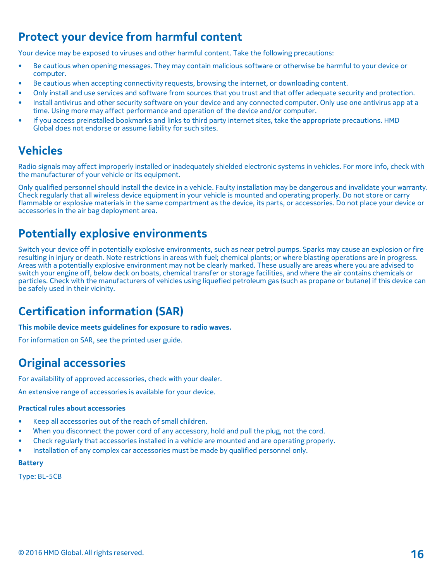### **Protect your device from harmful content**

Your device may be exposed to viruses and other harmful content. Take the following precautions:

- Be cautious when opening messages. They may contain malicious software or otherwise be harmful to your device or computer.
- Be cautious when accepting connectivity requests, browsing the internet, or downloading content.
- Only install and use services and software from sources that you trust and that offer adequate security and protection.
- Install antivirus and other security software on your device and any connected computer. Only use one antivirus app at a time. Using more may affect performance and operation of the device and/or computer.
- If you access preinstalled bookmarks and links to third party internet sites, take the appropriate precautions. HMD Global does not endorse or assume liability for such sites.

#### **Vehicles**

Radio signals may affect improperly installed or inadequately shielded electronic systems in vehicles. For more info, check with the manufacturer of your vehicle or its equipment.

Only qualified personnel should install the device in a vehicle. Faulty installation may be dangerous and invalidate your warranty. Check regularly that all wireless device equipment in your vehicle is mounted and operating properly. Do not store or carry flammable or explosive materials in the same compartment as the device, its parts, or accessories. Do not place your device or accessories in the air bag deployment area.

#### **Potentially explosive environments**

Switch your device off in potentially explosive environments, such as near petrol pumps. Sparks may cause an explosion or fire resulting in injury or death. Note restrictions in areas with fuel; chemical plants; or where blasting operations are in progress. Areas with a potentially explosive environment may not be clearly marked. These usually are areas where you are advised to switch your engine off, below deck on boats, chemical transfer or storage facilities, and where the air contains chemicals or particles. Check with the manufacturers of vehicles using liquefied petroleum gas (such as propane or butane) if this device can be safely used in their vicinity.

#### **Certification information (SAR)**

**This mobile device meets guidelines for exposure to radio waves.**

For information on SAR, see the printed user guide.

### **Original accessories**

For availability of approved accessories, check with your dealer.

An extensive range of accessories is available for your device.

#### **Practical rules about accessories**

- Keep all accessories out of the reach of small children.
- When you disconnect the power cord of any accessory, hold and pull the plug, not the cord.
- Check regularly that accessories installed in a vehicle are mounted and are operating properly.
- Installation of any complex car accessories must be made by qualified personnel only.

#### **Battery**

Type: BL-5CB